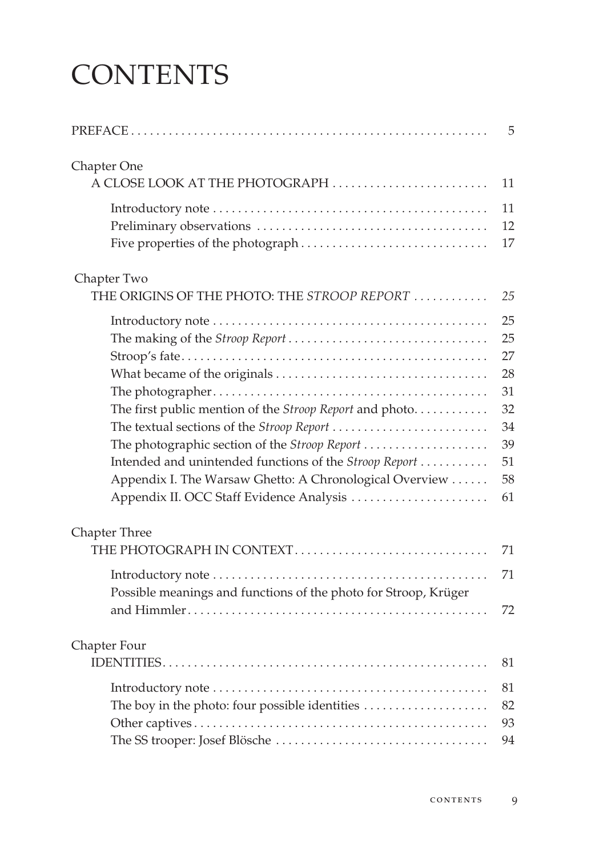## **CONTENTS**

|                                                                 | 5        |
|-----------------------------------------------------------------|----------|
| Chapter One                                                     |          |
| A CLOSE LOOK AT THE PHOTOGRAPH                                  | 11       |
|                                                                 | 11       |
|                                                                 | 12       |
|                                                                 | 17       |
| Chapter Two                                                     |          |
| THE ORIGINS OF THE PHOTO: THE STROOP REPORT                     | 25       |
|                                                                 | 25       |
|                                                                 | 25       |
|                                                                 | 27       |
|                                                                 | 28       |
|                                                                 | 31       |
| The first public mention of the Stroop Report and photo         | 32<br>34 |
| The photographic section of the Stroop Report                   | 39       |
| Intended and unintended functions of the Stroop Report          | 51       |
| Appendix I. The Warsaw Ghetto: A Chronological Overview         | 58       |
| Appendix II. OCC Staff Evidence Analysis                        | 61       |
| <b>Chapter Three</b>                                            |          |
| THE PHOTOGRAPH IN CONTEXT                                       | 71       |
| Possible meanings and functions of the photo for Stroop, Krüger | 71       |
|                                                                 | 72       |
| Chapter Four                                                    |          |
|                                                                 | 81       |
|                                                                 | 81       |
| The boy in the photo: four possible identities                  | 82       |
|                                                                 | 93       |
|                                                                 | 94       |